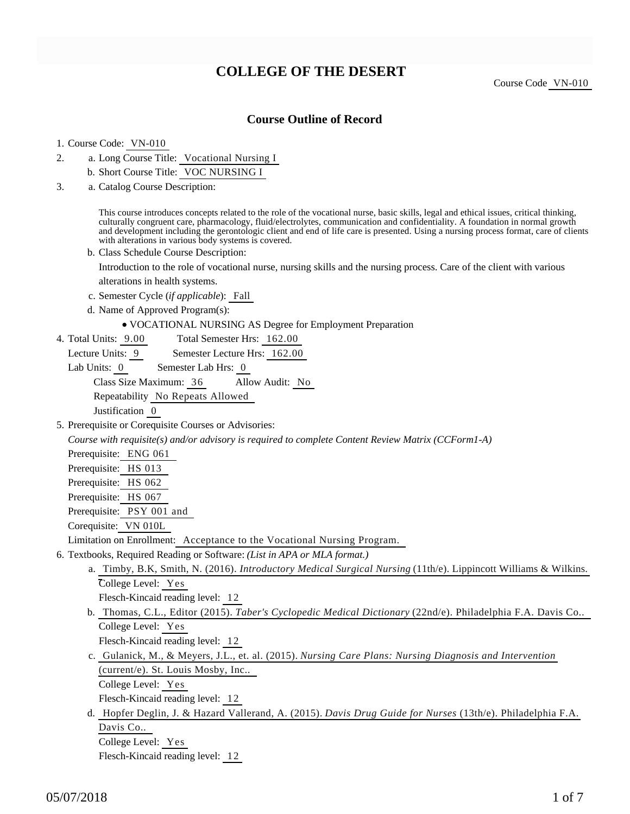# **COLLEGE OF THE DESERT**

Course Code VN-010

### **Course Outline of Record**

#### 1. Course Code: VN-010

- a. Long Course Title: Vocational Nursing I 2.
	- b. Short Course Title: VOC NURSING I
- Catalog Course Description: a. 3.

This course introduces concepts related to the role of the vocational nurse, basic skills, legal and ethical issues, critical thinking, culturally congruent care, pharmacology, fluid/electrolytes, communication and confidentiality. A foundation in normal growth and development including the gerontologic client and end of life care is presented. Using a nursing process format, care of clients with alterations in various body systems is covered.

b. Class Schedule Course Description:

Introduction to the role of vocational nurse, nursing skills and the nursing process. Care of the client with various alterations in health systems.

- c. Semester Cycle (*if applicable*): Fall
- d. Name of Approved Program(s):
	- VOCATIONAL NURSING AS Degree for Employment Preparation
- Total Semester Hrs: 162.00 4. Total Units: 9.00

Lecture Units: 9 Semester Lecture Hrs: 162.00

Lab Units: 0 Semester Lab Hrs: 0

Class Size Maximum: 36 Allow Audit: No

Repeatability No Repeats Allowed

Justification 0

5. Prerequisite or Corequisite Courses or Advisories:

*Course with requisite(s) and/or advisory is required to complete Content Review Matrix (CCForm1-A)*

- Prerequisite: ENG 061
- Prerequisite: HS 013

Prerequisite: HS 062

Prerequisite: HS 067

Prerequisite: PSY 001 and

Corequisite: VN 010L

Limitation on Enrollment: Acceptance to the Vocational Nursing Program.

- 6. Textbooks, Required Reading or Software: (List in APA or MLA format.)
	- a. Timby, B.K, Smith, N. (2016). *Introductory Medical Surgical Nursing* (11th/e). Lippincott Williams & Wilkins. College Level: Yes Flesch-Kincaid reading level: 12 b. Thomas, C.L., Editor (2015). *Taber's Cyclopedic Medical Dictionary* (22nd/e). Philadelphia F.A. Davis Co..

College Level: Yes

Flesch-Kincaid reading level: 12

c. Gulanick, M., & Meyers, J.L., et. al. (2015). *Nursing Care Plans: Nursing Diagnosis and Intervention* (current/e). St. Louis Mosby, Inc..

College Level: Yes

Flesch-Kincaid reading level: 12

d. Hopfer Deglin, J. & Hazard Vallerand, A. (2015). *Davis Drug Guide for Nurses* (13th/e). Philadelphia F.A. Davis Co.. College Level: Yes

Flesch-Kincaid reading level: 12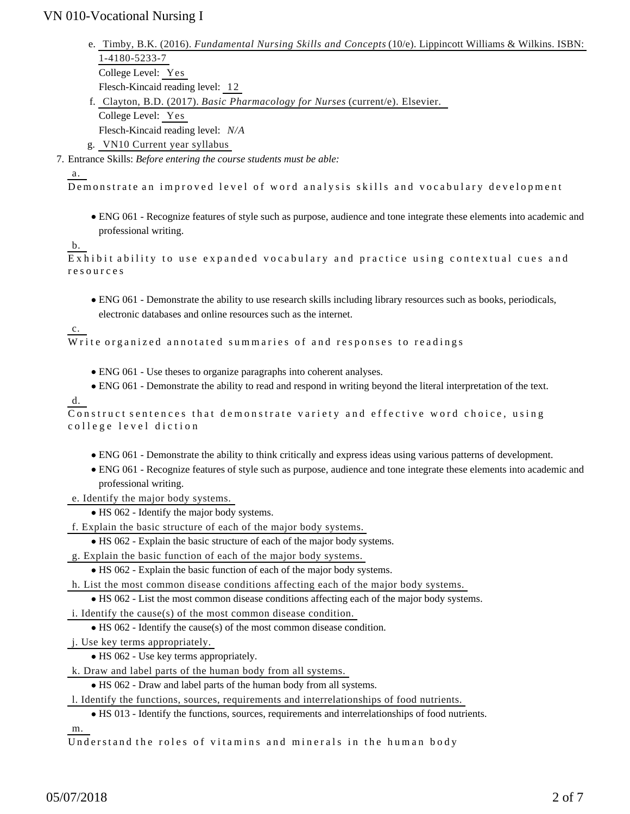- e. Timby, B.K. (2016). *Fundamental Nursing Skills and Concepts* (10/e). Lippincott Williams & Wilkins. ISBN: 1-4180-5233-7 College Level: Yes Flesch-Kincaid reading level: 12
- Clayton, B.D. (2017). *Basic Pharmacology for Nurses* (current/e). Elsevier. f. College Level: Yes Flesch-Kincaid reading level: *N/A* g. VN10 Current year syllabus
- Entrance Skills: *Before entering the course students must be able:* 7.

#### a.

Demonstrate an improved level of word analysis skills and vocabulary development

ENG 061 - Recognize features of style such as purpose, audience and tone integrate these elements into academic and professional writing.

#### b.

Exhibit ability to use expanded vocabulary and practice using contextual cues and resources

ENG 061 - Demonstrate the ability to use research skills including library resources such as books, periodicals, electronic databases and online resources such as the internet.

Write organized annotated summaries of and responses to readings

- ENG 061 Use theses to organize paragraphs into coherent analyses.
- ENG 061 Demonstrate the ability to read and respond in writing beyond the literal interpretation of the text.

#### d.

c.

```
Construct sentences that demonstrate variety and effective word choice, using
college level diction
```
- ENG 061 Demonstrate the ability to think critically and express ideas using various patterns of development.
- ENG 061 Recognize features of style such as purpose, audience and tone integrate these elements into academic and professional writing.
- e. Identify the major body systems.
	- HS 062 Identify the major body systems.

f. Explain the basic structure of each of the major body systems.

HS 062 - Explain the basic structure of each of the major body systems.

g. Explain the basic function of each of the major body systems.

HS 062 - Explain the basic function of each of the major body systems.

h. List the most common disease conditions affecting each of the major body systems.

HS 062 - List the most common disease conditions affecting each of the major body systems.

i. Identify the cause(s) of the most common disease condition.

HS 062 - Identify the cause(s) of the most common disease condition.

j. Use key terms appropriately.

HS 062 - Use key terms appropriately.

k. Draw and label parts of the human body from all systems.

HS 062 - Draw and label parts of the human body from all systems.

l. Identify the functions, sources, requirements and interrelationships of food nutrients.

HS 013 - Identify the functions, sources, requirements and interrelationships of food nutrients.

m.

Understand the roles of vitamins and minerals in the human body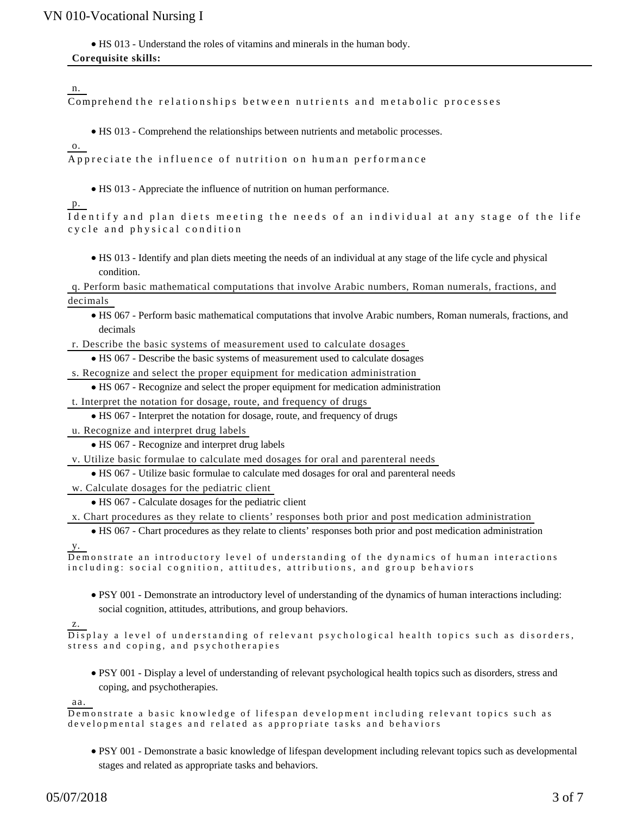HS 013 - Understand the roles of vitamins and minerals in the human body.

#### **Corequisite skills:**

n.

Comprehend the relationships between nutrients and metabolic processes

• HS 013 - Comprehend the relationships between nutrients and metabolic processes.

o.

Appreciate the influence of nutrition on human performance

HS 013 - Appreciate the influence of nutrition on human performance.

p.

| Identify and plan diets meeting the needs of an individual at any stage of the life |  |  |  |  |  |  |  |
|-------------------------------------------------------------------------------------|--|--|--|--|--|--|--|
| cycle and physical condition                                                        |  |  |  |  |  |  |  |

HS 013 - Identify and plan diets meeting the needs of an individual at any stage of the life cycle and physical condition.

q. Perform basic mathematical computations that involve Arabic numbers, Roman numerals, fractions, and decimals

HS 067 - Perform basic mathematical computations that involve Arabic numbers, Roman numerals, fractions, and decimals

r. Describe the basic systems of measurement used to calculate dosages

HS 067 - Describe the basic systems of measurement used to calculate dosages

s. Recognize and select the proper equipment for medication administration

HS 067 - Recognize and select the proper equipment for medication administration

t. Interpret the notation for dosage, route, and frequency of drugs

HS 067 - Interpret the notation for dosage, route, and frequency of drugs

u. Recognize and interpret drug labels

HS 067 - Recognize and interpret drug labels

v. Utilize basic formulae to calculate med dosages for oral and parenteral needs

HS 067 - Utilize basic formulae to calculate med dosages for oral and parenteral needs

w. Calculate dosages for the pediatric client

HS 067 - Calculate dosages for the pediatric client

x. Chart procedures as they relate to clients' responses both prior and post medication administration

HS 067 - Chart procedures as they relate to clients' responses both prior and post medication administration y.

```
Demonstrate an introductory level of understanding of the dynamics of human interactions
including: social cognition, attitudes, attributions, and group behaviors
```
PSY 001 - Demonstrate an introductory level of understanding of the dynamics of human interactions including: social cognition, attitudes, attributions, and group behaviors.

z.

Display a level of understanding of relevant psychological health topics such as disorders, stress and coping, and psychotherapies

PSY 001 - Display a level of understanding of relevant psychological health topics such as disorders, stress and coping, and psychotherapies.

aa.

```
Demonstrate a basic knowledge of lifespan development including relevant topics such as
developmental stages and related as appropriate tasks and behaviors
```
PSY 001 - Demonstrate a basic knowledge of lifespan development including relevant topics such as developmental stages and related as appropriate tasks and behaviors.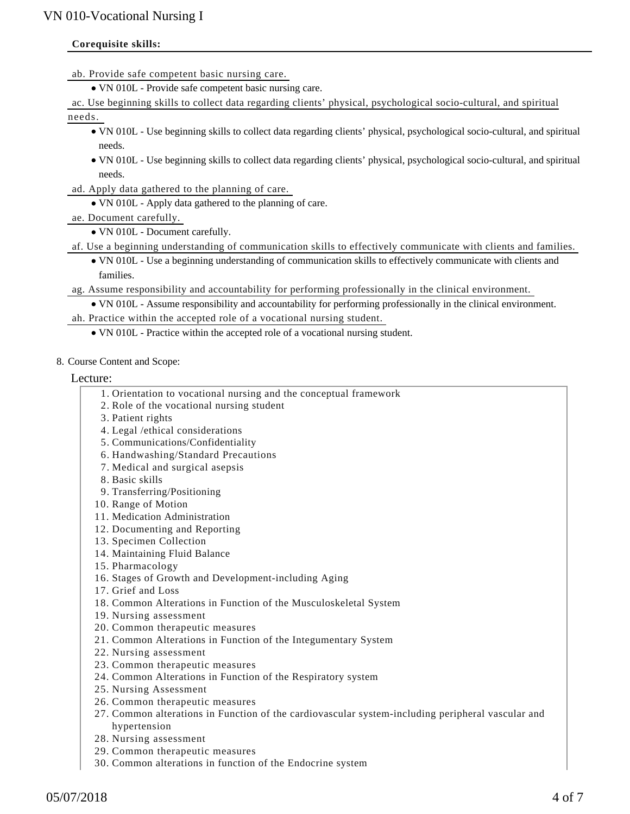#### **Corequisite skills:**

ab. Provide safe competent basic nursing care.

VN 010L - Provide safe competent basic nursing care.

ac. Use beginning skills to collect data regarding clients' physical, psychological socio-cultural, and spiritual

needs.

- VN 010L Use beginning skills to collect data regarding clients' physical, psychological socio-cultural, and spiritual needs.
- VN 010L Use beginning skills to collect data regarding clients' physical, psychological socio-cultural, and spiritual needs.
- ad. Apply data gathered to the planning of care.
	- VN 010L Apply data gathered to the planning of care.
- ae. Document carefully.
	- VN 010L Document carefully.
- af. Use a beginning understanding of communication skills to effectively communicate with clients and families.
	- VN 010L Use a beginning understanding of communication skills to effectively communicate with clients and families.
- ag. Assume responsibility and accountability for performing professionally in the clinical environment.

VN 010L - Assume responsibility and accountability for performing professionally in the clinical environment.

- ah. Practice within the accepted role of a vocational nursing student.
	- VN 010L Practice within the accepted role of a vocational nursing student.
- 8. Course Content and Scope:

Lecture:

- 1. Orientation to vocational nursing and the conceptual framework
- 2. Role of the vocational nursing student
- 3. Patient rights
- 4. Legal /ethical considerations
- 5. Communications/Confidentiality
- 6. Handwashing/Standard Precautions
- 7. Medical and surgical asepsis
- 8. Basic skills
- 9. Transferring/Positioning
- 10. Range of Motion
- 11. Medication Administration
- 12. Documenting and Reporting
- 13. Specimen Collection
- 14. Maintaining Fluid Balance
- 15. Pharmacology
- 16. Stages of Growth and Development-including Aging
- 17. Grief and Loss
- 18. Common Alterations in Function of the Musculoskeletal System
- 19. Nursing assessment
- 20. Common therapeutic measures
- 21. Common Alterations in Function of the Integumentary System
- 22. Nursing assessment
- 23. Common therapeutic measures
- 24. Common Alterations in Function of the Respiratory system
- 25. Nursing Assessment
- 26. Common therapeutic measures
- 27. Common alterations in Function of the cardiovascular system-including peripheral vascular and hypertension
- 28. Nursing assessment
- 29. Common therapeutic measures
- 30. Common alterations in function of the Endocrine system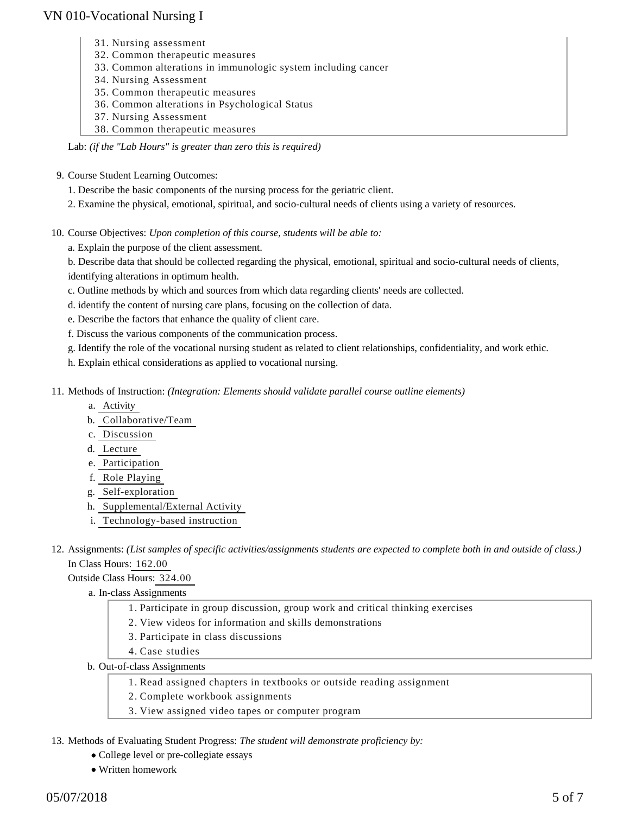- 31. Nursing assessment
- 32. Common therapeutic measures
- 33. Common alterations in immunologic system including cancer
- 34. Nursing Assessment
- 35. Common therapeutic measures
- 36. Common alterations in Psychological Status
- 37. Nursing Assessment
- 38. Common therapeutic measures

Lab: *(if the "Lab Hours" is greater than zero this is required)*

- 9. Course Student Learning Outcomes:
	- 1. Describe the basic components of the nursing process for the geriatric client.
	- 2. Examine the physical, emotional, spiritual, and socio-cultural needs of clients using a variety of resources.

10. Course Objectives: Upon completion of this course, students will be able to:

a. Explain the purpose of the client assessment.

b. Describe data that should be collected regarding the physical, emotional, spiritual and socio-cultural needs of clients, identifying alterations in optimum health.

- c. Outline methods by which and sources from which data regarding clients' needs are collected.
- d. identify the content of nursing care plans, focusing on the collection of data.
- e. Describe the factors that enhance the quality of client care.
- f. Discuss the various components of the communication process.
- g. Identify the role of the vocational nursing student as related to client relationships, confidentiality, and work ethic.
- h. Explain ethical considerations as applied to vocational nursing.
- 11. Methods of Instruction: *(Integration: Elements should validate parallel course outline elements)* 
	- a. Activity
	- b. Collaborative/Team
	- c. Discussion
	- d. Lecture
	- e. Participation
	- f. Role Playing
	- g. Self-exploration
	- h. Supplemental/External Activity
	- i. Technology-based instruction
- 12. Assignments: (List samples of specific activities/assignments students are expected to complete both in and outside of class.) In Class Hours: 162.00

Outside Class Hours: 324.00

a. In-class Assignments

- 1. Participate in group discussion, group work and critical thinking exercises
- 2. View videos for information and skills demonstrations
- 3. Participate in class discussions
- 4. Case studies
- b. Out-of-class Assignments
	- 1. Read assigned chapters in textbooks or outside reading assignment
	- 2. Complete workbook assignments
	- 3. View assigned video tapes or computer program
- 13. Methods of Evaluating Student Progress: The student will demonstrate proficiency by:
	- College level or pre-collegiate essays
	- Written homework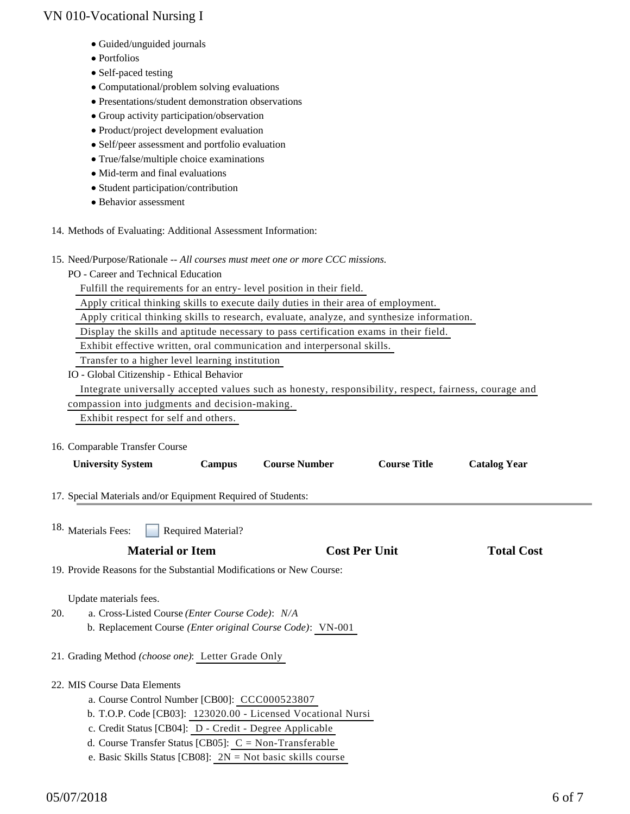- Guided/unguided journals
- Portfolios
- Self-paced testing
- Computational/problem solving evaluations
- Presentations/student demonstration observations
- Group activity participation/observation
- Product/project development evaluation
- Self/peer assessment and portfolio evaluation
- True/false/multiple choice examinations
- Mid-term and final evaluations
- Student participation/contribution
- Behavior assessment
- 14. Methods of Evaluating: Additional Assessment Information:
- 15. Need/Purpose/Rationale -- All courses must meet one or more CCC missions.
	- PO Career and Technical Education

Fulfill the requirements for an entry- level position in their field.

Apply critical thinking skills to execute daily duties in their area of employment.

Apply critical thinking skills to research, evaluate, analyze, and synthesize information.

Display the skills and aptitude necessary to pass certification exams in their field.

Exhibit effective written, oral communication and interpersonal skills.

Transfer to a higher level learning institution

IO - Global Citizenship - Ethical Behavior

Integrate universally accepted values such as honesty, responsibility, respect, fairness, courage and

compassion into judgments and decision-making.

Exhibit respect for self and others.

16. Comparable Transfer Course

| <b>University System</b><br>Campus                                                                                                                     |                           | <b>Course Number</b>                                          | <b>Course Title</b>  | <b>Catalog Year</b> |  |
|--------------------------------------------------------------------------------------------------------------------------------------------------------|---------------------------|---------------------------------------------------------------|----------------------|---------------------|--|
| 17. Special Materials and/or Equipment Required of Students:                                                                                           |                           |                                                               |                      |                     |  |
| <sup>18.</sup> Materials Fees:                                                                                                                         | <b>Required Material?</b> |                                                               |                      |                     |  |
| <b>Material or Item</b><br>19. Provide Reasons for the Substantial Modifications or New Course:                                                        |                           |                                                               | <b>Cost Per Unit</b> | <b>Total Cost</b>   |  |
|                                                                                                                                                        |                           |                                                               |                      |                     |  |
| Update materials fees.<br>a. Cross-Listed Course ( <i>Enter Course Code</i> ): <i>N/A</i><br>20.<br>21. Grading Method (choose one): Letter Grade Only |                           | b. Replacement Course (Enter original Course Code): VN-001    |                      |                     |  |
| 22. MIS Course Data Elements                                                                                                                           |                           |                                                               |                      |                     |  |
| a. Course Control Number [CB00]: CCC000523807                                                                                                          |                           |                                                               |                      |                     |  |
|                                                                                                                                                        |                           | b. T.O.P. Code [CB03]: 123020.00 - Licensed Vocational Nursi  |                      |                     |  |
| c. Credit Status [CB04]: D - Credit - Degree Applicable                                                                                                |                           |                                                               |                      |                     |  |
| d. Course Transfer Status [CB05]: $C = Non-Transferable$                                                                                               |                           |                                                               |                      |                     |  |
|                                                                                                                                                        |                           | e. Basic Skills Status [CB08]: $2N = Not basic skills course$ |                      |                     |  |

05/07/2018 6 of 7